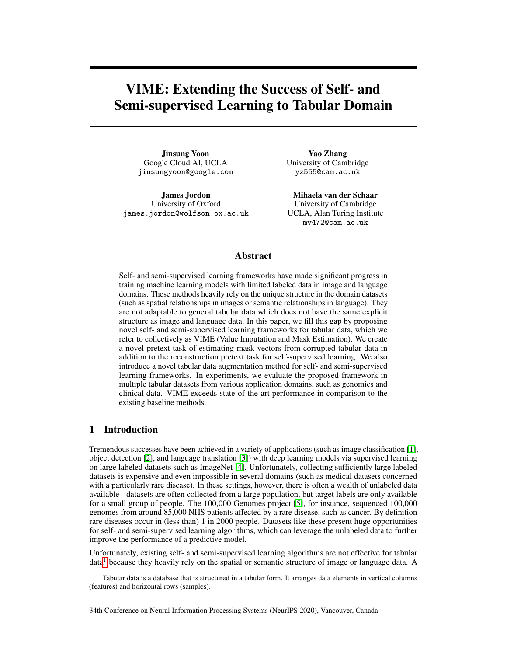# <span id="page-0-1"></span>VIME: Extending the Success of Self- and Semi-supervised Learning to Tabular Domain

Jinsung Yoon Google Cloud AI, UCLA jinsungyoon@google.com

James Jordon University of Oxford james.jordon@wolfson.ox.ac.uk

Yao Zhang University of Cambridge yz555@cam.ac.uk

Mihaela van der Schaar University of Cambridge UCLA, Alan Turing Institute mv472@cam.ac.uk

## Abstract

Self- and semi-supervised learning frameworks have made significant progress in training machine learning models with limited labeled data in image and language domains. These methods heavily rely on the unique structure in the domain datasets (such as spatial relationships in images or semantic relationships in language). They are not adaptable to general tabular data which does not have the same explicit structure as image and language data. In this paper, we fill this gap by proposing novel self- and semi-supervised learning frameworks for tabular data, which we refer to collectively as VIME (Value Imputation and Mask Estimation). We create a novel pretext task of estimating mask vectors from corrupted tabular data in addition to the reconstruction pretext task for self-supervised learning. We also introduce a novel tabular data augmentation method for self- and semi-supervised learning frameworks. In experiments, we evaluate the proposed framework in multiple tabular datasets from various application domains, such as genomics and clinical data. VIME exceeds state-of-the-art performance in comparison to the existing baseline methods.

# 1 Introduction

Tremendous successes have been achieved in a variety of applications (such as image classification [\[1\]](#page-9-0), object detection [\[2\]](#page-9-1), and language translation [\[3\]](#page-9-2)) with deep learning models via supervised learning on large labeled datasets such as ImageNet [\[4\]](#page-9-3). Unfortunately, collecting sufficiently large labeled datasets is expensive and even impossible in several domains (such as medical datasets concerned with a particularly rare disease). In these settings, however, there is often a wealth of unlabeled data available - datasets are often collected from a large population, but target labels are only available for a small group of people. The 100,000 Genomes project [\[5\]](#page-9-4), for instance, sequenced 100,000 genomes from around 85,000 NHS patients affected by a rare disease, such as cancer. By definition rare diseases occur in (less than) 1 in 2000 people. Datasets like these present huge opportunities for self- and semi-supervised learning algorithms, which can leverage the unlabeled data to further improve the performance of a predictive model.

Unfortunately, existing self- and semi-supervised learning algorithms are not effective for tabular data<sup>[1](#page-0-0)</sup> because they heavily rely on the spatial or semantic structure of image or language data. A

34th Conference on Neural Information Processing Systems (NeurIPS 2020), Vancouver, Canada.

<span id="page-0-0"></span><sup>1</sup>Tabular data is a database that is structured in a tabular form. It arranges data elements in vertical columns (features) and horizontal rows (samples).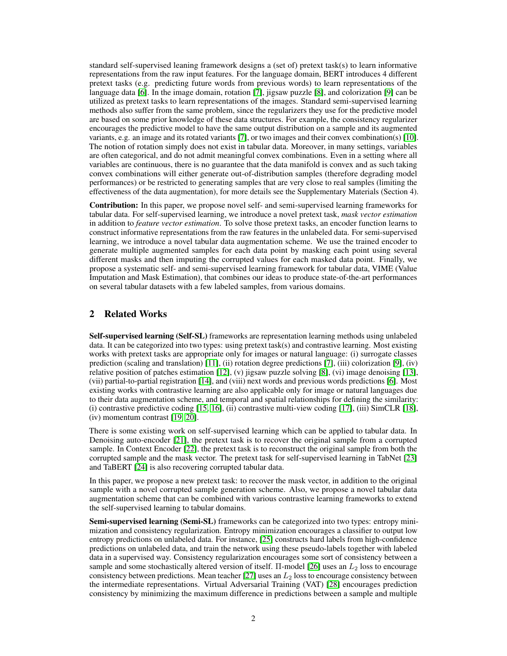standard self-supervised leaning framework designs a (set of) pretext task(s) to learn informative representations from the raw input features. For the language domain, BERT introduces 4 different pretext tasks (e.g. predicting future words from previous words) to learn representations of the language data [\[6\]](#page-9-5). In the image domain, rotation [\[7\]](#page-9-6), jigsaw puzzle [\[8\]](#page-9-7), and colorization [\[9\]](#page-9-8) can be utilized as pretext tasks to learn representations of the images. Standard semi-supervised learning methods also suffer from the same problem, since the regularizers they use for the predictive model are based on some prior knowledge of these data structures. For example, the consistency regularizer encourages the predictive model to have the same output distribution on a sample and its augmented variants, e.g. an image and its rotated variants [\[7\]](#page-9-6), or two images and their convex combination(s) [\[10\]](#page-9-9). The notion of rotation simply does not exist in tabular data. Moreover, in many settings, variables are often categorical, and do not admit meaningful convex combinations. Even in a setting where all variables are continuous, there is no guarantee that the data manifold is convex and as such taking convex combinations will either generate out-of-distribution samples (therefore degrading model performances) or be restricted to generating samples that are very close to real samples (limiting the effectiveness of the data augmentation), for more details see the Supplementary Materials (Section 4).

Contribution: In this paper, we propose novel self- and semi-supervised learning frameworks for tabular data. For self-supervised learning, we introduce a novel pretext task, *mask vector estimation* in addition to *feature vector estimation*. To solve those pretext tasks, an encoder function learns to construct informative representations from the raw features in the unlabeled data. For semi-supervised learning, we introduce a novel tabular data augmentation scheme. We use the trained encoder to generate multiple augmented samples for each data point by masking each point using several different masks and then imputing the corrupted values for each masked data point. Finally, we propose a systematic self- and semi-supervised learning framework for tabular data, VIME (Value Imputation and Mask Estimation), that combines our ideas to produce state-of-the-art performances on several tabular datasets with a few labeled samples, from various domains.

# 2 Related Works

Self-supervised learning (Self-SL) frameworks are representation learning methods using unlabeled data. It can be categorized into two types: using pretext task(s) and contrastive learning. Most existing works with pretext tasks are appropriate only for images or natural language: (i) surrogate classes prediction (scaling and translation) [\[11\]](#page-9-10), (ii) rotation degree predictions [\[7\]](#page-9-6), (iii) colorization [\[9\]](#page-9-8), (iv) relative position of patches estimation [\[12\]](#page-9-11), (v) jigsaw puzzle solving [\[8\]](#page-9-7), (vi) image denoising [\[13\]](#page-9-12), (vii) partial-to-partial registration [\[14\]](#page-9-13), and (viii) next words and previous words predictions [\[6\]](#page-9-5). Most existing works with contrastive learning are also applicable only for image or natural languages due to their data augmentation scheme, and temporal and spatial relationships for defining the similarity: (i) contrastive predictive coding [\[15,](#page-9-14) [16\]](#page-9-15), (ii) contrastive multi-view coding [\[17\]](#page-10-0), (iii) SimCLR [\[18\]](#page-10-1), (iv) momentum contrast [\[19,](#page-10-2) [20\]](#page-10-3).

There is some existing work on self-supervised learning which can be applied to tabular data. In Denoising auto-encoder [\[21\]](#page-10-4), the pretext task is to recover the original sample from a corrupted sample. In Context Encoder [\[22\]](#page-10-5), the pretext task is to reconstruct the original sample from both the corrupted sample and the mask vector. The pretext task for self-supervised learning in TabNet [\[23\]](#page-10-6) and TaBERT [\[24\]](#page-10-7) is also recovering corrupted tabular data.

In this paper, we propose a new pretext task: to recover the mask vector, in addition to the original sample with a novel corrupted sample generation scheme. Also, we propose a novel tabular data augmentation scheme that can be combined with various contrastive learning frameworks to extend the self-supervised learning to tabular domains.

Semi-supervised learning (Semi-SL) frameworks can be categorized into two types: entropy minimization and consistency regularization. Entropy minimization encourages a classifier to output low entropy predictions on unlabeled data. For instance, [\[25\]](#page-10-8) constructs hard labels from high-confidence predictions on unlabeled data, and train the network using these pseudo-labels together with labeled data in a supervised way. Consistency regularization encourages some sort of consistency between a sample and some stochastically altered version of itself.  $\Pi$ -model [\[26\]](#page-10-9) uses an  $L_2$  loss to encourage consistency between predictions. Mean teacher [\[27\]](#page-10-10) uses an  $L_2$  loss to encourage consistency between the intermediate representations. Virtual Adversarial Training (VAT) [\[28\]](#page-10-11) encourages prediction consistency by minimizing the maximum difference in predictions between a sample and multiple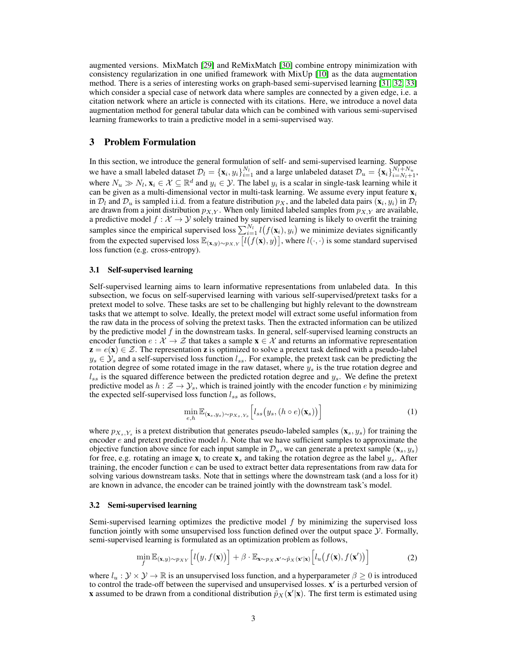augmented versions. MixMatch [\[29\]](#page-10-12) and ReMixMatch [\[30\]](#page-10-13) combine entropy minimization with consistency regularization in one unified framework with MixUp [\[10\]](#page-9-9) as the data augmentation method. There is a series of interesting works on graph-based semi-supervised learning [\[31,](#page-10-14) [32,](#page-10-15) [33\]](#page-10-16) which consider a special case of network data where samples are connected by a given edge, i.e. a citation network where an article is connected with its citations. Here, we introduce a novel data augmentation method for general tabular data which can be combined with various semi-supervised learning frameworks to train a predictive model in a semi-supervised way.

## <span id="page-2-0"></span>3 Problem Formulation

In this section, we introduce the general formulation of self- and semi-supervised learning. Suppose we have a small labeled dataset  $\mathcal{D}_l = {\mathbf{x}_i, y_i}_{i=1}^{N_l}$  and a large unlabeled dataset  $\mathcal{D}_u = {\mathbf{x}_i}_{i=N_l+1}^{N_l+N_u}$ where  $N_u \gg N_l$ ,  $\mathbf{x}_i \in \mathcal{X} \subseteq \mathbb{R}^d$  and  $y_i \in \mathcal{Y}$ . The label  $y_i$  is a scalar in single-task learning while it can be given as a multi-dimensional vector in multi-task learning. We assume every input feature  $x_i$ in  $D_l$  and  $D_u$  is sampled i.i.d. from a feature distribution  $p_X$ , and the labeled data pairs  $(x_i, y_i)$  in  $D_l$ are drawn from a joint distribution  $p_{X,Y}$ . When only limited labeled samples from  $p_{X,Y}$  are available, a predictive model  $f : \mathcal{X} \to \mathcal{Y}$  solely trained by supervised learning is likely to overfit the training samples since the empirical supervised loss  $\sum_{i=1}^{N_l} l(f(\mathbf{x}_i), y_i)$  we minimize deviates significantly from the expected supervised loss  $\mathbb{E}_{(x,y)\sim p_{X,Y}}[l(f(x), y)]$ , where  $l(\cdot, \cdot)$  is some standard supervised loss function (e.g. cross-entropy).

#### 3.1 Self-supervised learning

Self-supervised learning aims to learn informative representations from unlabeled data. In this subsection, we focus on self-supervised learning with various self-supervised/pretext tasks for a pretext model to solve. These tasks are set to be challenging but highly relevant to the downstream tasks that we attempt to solve. Ideally, the pretext model will extract some useful information from the raw data in the process of solving the pretext tasks. Then the extracted information can be utilized by the predictive model  $f$  in the downstream tasks. In general, self-supervised learning constructs an encoder function  $e : \mathcal{X} \to \mathcal{Z}$  that takes a sample  $\mathbf{x} \in \mathcal{X}$  and returns an informative representation  $z = e(x) \in \mathcal{Z}$ . The representation z is optimized to solve a pretext task defined with a pseudo-label  $y_s \in \mathcal{Y}_s$  and a self-supervised loss function  $l_{ss}$ . For example, the pretext task can be predicting the rotation degree of some rotated image in the raw dataset, where  $y_s$  is the true rotation degree and  $l_{ss}$  is the squared difference between the predicted rotation degree and  $y_s$ . We define the pretext predictive model as  $h : \mathcal{Z} \to \mathcal{Y}_s$ , which is trained jointly with the encoder function e by minimizing the expected self-supervised loss function  $l_{ss}$  as follows,

$$
\min_{e,h} \mathbb{E}_{(\mathbf{x}_s, y_s) \sim p_{X_s, Y_s}} \left[ l_{ss}(y_s, (h \circ e)(\mathbf{x}_s)) \right]
$$
\n(1)

where  $p_{X_s,Y_s}$  is a pretext distribution that generates pseudo-labeled samples  $(\mathbf{x}_s, y_s)$  for training the encoder  $e$  and pretext predictive model  $h$ . Note that we have sufficient samples to approximate the objective function above since for each input sample in  $\mathcal{D}_u$ , we can generate a pretext sample  $(\mathbf{x}_s, y_s)$ for free, e.g. rotating an image  $\mathbf{x}_i$  to create  $\mathbf{x}_s$  and taking the rotation degree as the label  $y_s$ . After training, the encoder function  $e$  can be used to extract better data representations from raw data for solving various downstream tasks. Note that in settings where the downstream task (and a loss for it) are known in advance, the encoder can be trained jointly with the downstream task's model.

#### 3.2 Semi-supervised learning

Semi-supervised learning optimizes the predictive model  $f$  by minimizing the supervised loss function jointly with some unsupervised loss function defined over the output space  $\mathcal Y$ . Formally, semi-supervised learning is formulated as an optimization problem as follows,

$$
\min_{f} \mathbb{E}_{(\mathbf{x},y)\sim p_{XY}}\left[l(y,f(\mathbf{x}))\right] + \beta \cdot \mathbb{E}_{\mathbf{x}\sim p_{X},\mathbf{x}'\sim \tilde{p}_{X}(\mathbf{x}'|\mathbf{x})}\left[l_{u}(f(\mathbf{x}),f(\mathbf{x}'))\right]
$$
(2)

where  $l_u : \mathcal{Y} \times \mathcal{Y} \to \mathbb{R}$  is an unsupervised loss function, and a hyperparameter  $\beta \geq 0$  is introduced to control the trade-off between the supervised and unsupervised losses.  $x'$  is a perturbed version of **x** assumed to be drawn from a conditional distribution  $\tilde{p}_X(\mathbf{x}'|\mathbf{x})$ . The first term is estimated using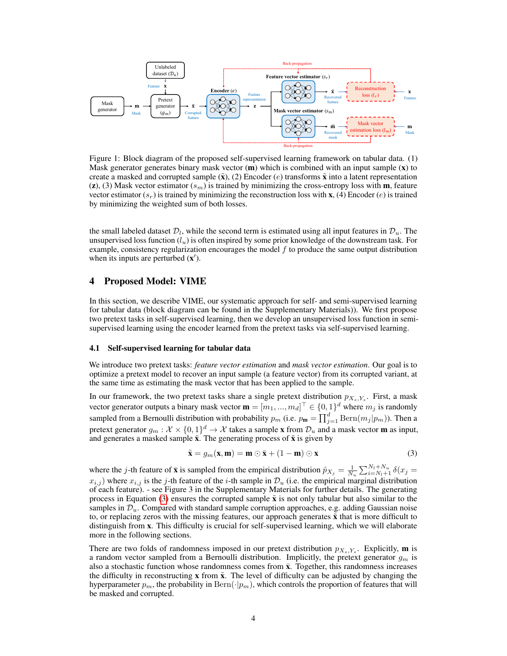<span id="page-3-1"></span>

Figure 1: Block diagram of the proposed self-supervised learning framework on tabular data. (1) Mask generator generates binary mask vector  $(m)$  which is combined with an input sample  $(x)$  to create a masked and corrupted sample  $(\tilde{\mathbf{x}})$ , (2) Encoder (e) transforms  $\tilde{\mathbf{x}}$  into a latent representation (z), (3) Mask vector estimator ( $s_m$ ) is trained by minimizing the cross-entropy loss with **m**, feature vector estimator  $(s_r)$  is trained by minimizing the reconstruction loss with **x**, (4) Encoder (e) is trained by minimizing the weighted sum of both losses.

the small labeled dataset  $\mathcal{D}_l$ , while the second term is estimated using all input features in  $\mathcal{D}_u$ . The unsupervised loss function  $(l_u)$  is often inspired by some prior knowledge of the downstream task. For example, consistency regularization encourages the model  $f$  to produce the same output distribution when its inputs are perturbed  $(x')$ .

## 4 Proposed Model: VIME

In this section, we describe VIME, our systematic approach for self- and semi-supervised learning for tabular data (block diagram can be found in the Supplementary Materials)). We first propose two pretext tasks in self-supervised learning, then we develop an unsupervised loss function in semisupervised learning using the encoder learned from the pretext tasks via self-supervised learning.

## 4.1 Self-supervised learning for tabular data

We introduce two pretext tasks: *feature vector estimation* and *mask vector estimation*. Our goal is to optimize a pretext model to recover an input sample (a feature vector) from its corrupted variant, at the same time as estimating the mask vector that has been applied to the sample.

In our framework, the two pretext tasks share a single pretext distribution  $p_{X_s,Y_s}$ . First, a mask vector generator outputs a binary mask vector  $\mathbf{m} = [m_1, ..., m_d]^\top \in \{0, 1\}^d$  where  $m_j$  is randomly sampled from a Bernoulli distribution with probability  $p_m$  (i.e.  $p_m = \prod_{j=1}^d \text{Bern}(m_j | p_m)$ ). Then a pretext generator  $g_m: \mathcal{X} \times \{0,1\}^d \to \mathcal{X}$  takes a sample **x** from  $\mathcal{D}_u$  and a mask vector **m** as input, and generates a masked sample  $\tilde{\mathbf{x}}$ . The generating process of  $\tilde{\mathbf{x}}$  is given by

<span id="page-3-0"></span>
$$
\tilde{\mathbf{x}} = g_m(\mathbf{x}, \mathbf{m}) = \mathbf{m} \odot \bar{\mathbf{x}} + (1 - \mathbf{m}) \odot \mathbf{x}
$$
 (3)

where the j-th feature of  $\bar{x}$  is sampled from the empirical distribution  $\hat{p}_{X_j} = \frac{1}{N_u} \sum_{i=N_l+1}^{N_l+N_u} \delta(x_j =$  $x_{i,j}$ ) where  $x_{i,j}$  is the j-th feature of the i-th sample in  $\mathcal{D}_u$  (i.e. the empirical marginal distribution of each feature). - see Figure 3 in the Supplementary Materials for further details. The generating process in Equation [\(3\)](#page-3-0) ensures the corrupted sample  $\tilde{\mathbf{x}}$  is not only tabular but also similar to the samples in  $\mathcal{D}_u$ . Compared with standard sample corruption approaches, e.g. adding Gaussian noise to, or replacing zeros with the missing features, our approach generates  $\tilde{\mathbf{x}}$  that is more difficult to distinguish from x. This difficulty is crucial for self-supervised learning, which we will elaborate more in the following sections.

There are two folds of randomness imposed in our pretext distribution  $p_{X_s,Y_s}$ . Explicitly, **m** is a random vector sampled from a Bernoulli distribution. Implicitly, the pretext generator  $g_m$  is also a stochastic function whose randomness comes from  $\bar{x}$ . Together, this randomness increases the difficulty in reconstructing  $\bf{x}$  from  $\bf{\tilde{x}}$ . The level of difficulty can be adjusted by changing the hyperparameter  $p_m$ , the probability in  $\text{Bern}(\cdot|p_m)$ , which controls the proportion of features that will be masked and corrupted.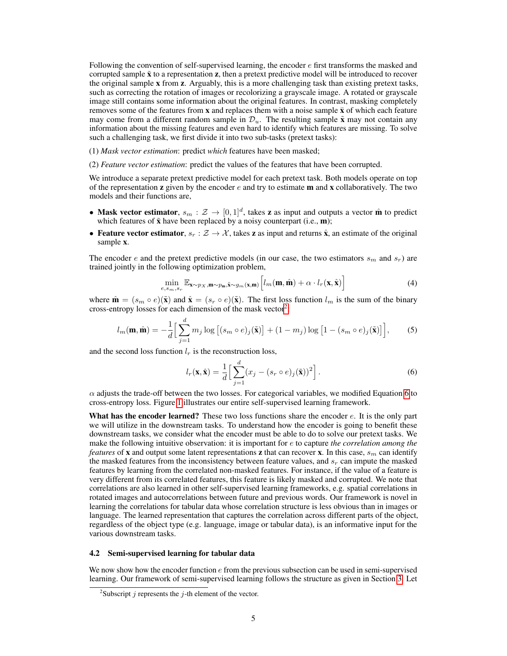Following the convention of self-supervised learning, the encoder  $e$  first transforms the masked and corrupted sample  $\tilde{\mathbf{x}}$  to a representation **z**, then a pretext predictive model will be introduced to recover the original sample x from z. Arguably, this is a more challenging task than existing pretext tasks, such as correcting the rotation of images or recolorizing a grayscale image. A rotated or grayscale image still contains some information about the original features. In contrast, masking completely removes some of the features from **x** and replaces them with a noise sample  $\bar{x}$  of which each feature may come from a different random sample in  $\mathcal{D}_u$ . The resulting sample  $\tilde{\mathbf{x}}$  may not contain any information about the missing features and even hard to identify which features are missing. To solve such a challenging task, we first divide it into two sub-tasks (pretext tasks):

(1) *Mask vector estimation*: predict *which* features have been masked;

(2) *Feature vector estimation*: predict the values of the features that have been corrupted.

We introduce a separate pretext predictive model for each pretext task. Both models operate on top of the representation  $z$  given by the encoder  $e$  and try to estimate  $m$  and  $x$  collaboratively. The two models and their functions are,

- Mask vector estimator,  $s_m : \mathcal{Z} \to [0,1]^d$ , takes z as input and outputs a vector m̂ to predict which features of  $\tilde{\mathbf{x}}$  have been replaced by a noisy counterpart (i.e.,  $\mathbf{m}$ );
- Feature vector estimator,  $s_r : \mathcal{Z} \to \mathcal{X}$ , takes z as input and returns  $\hat{\mathbf{x}}$ , an estimate of the original sample x.

The encoder e and the pretext predictive models (in our case, the two estimators  $s_m$  and  $s_r$ ) are trained jointly in the following optimization problem,

$$
\min_{e,s_m,s_r} \mathbb{E}_{\mathbf{x} \sim p_X, \mathbf{m} \sim p_\mathbf{m}, \tilde{\mathbf{x}} \sim g_m(\mathbf{x}, \mathbf{m})} \left[ l_m(\mathbf{m}, \hat{\mathbf{m}}) + \alpha \cdot l_r(\mathbf{x}, \hat{\mathbf{x}}) \right]
$$
(4)

where  $\hat{\mathbf{m}} = (s_m \circ e)(\tilde{\mathbf{x}})$  and  $\hat{\mathbf{x}} = (s_r \circ e)(\tilde{\mathbf{x}})$ . The first loss function  $l_m$  is the sum of the binary cross-entropy losses for each dimension of the mask vector<sup>[2](#page-4-0)</sup>:

$$
l_m(\mathbf{m}, \hat{\mathbf{m}}) = -\frac{1}{d} \Big[ \sum_{j=1}^d m_j \log \big[ (s_m \circ e)_j(\tilde{\mathbf{x}}) \big] + (1 - m_j) \log \big[ 1 - (s_m \circ e)_j(\tilde{\mathbf{x}}) \big] \Big],\tag{5}
$$

and the second loss function  $l_r$  is the reconstruction loss,

<span id="page-4-1"></span>
$$
l_r(\mathbf{x}, \hat{\mathbf{x}}) = \frac{1}{d} \Big[ \sum_{j=1}^d (x_j - (s_r \circ e)_j(\tilde{\mathbf{x}}))^2 \Big].
$$
 (6)

 $\alpha$  adjusts the trade-off between the two losses. For categorical variables, we modified Equation [6](#page-4-1) to cross-entropy loss. Figure [1](#page-3-1) illustrates our entire self-supervised learning framework.

What has the encoder learned? These two loss functions share the encoder  $e$ . It is the only part we will utilize in the downstream tasks. To understand how the encoder is going to benefit these downstream tasks, we consider what the encoder must be able to do to solve our pretext tasks. We make the following intuitive observation: it is important for e to capture *the correlation among the features* of **x** and output some latent representations **z** that can recover **x**. In this case,  $s_m$  can identify the masked features from the inconsistency between feature values, and  $s_r$  can impute the masked features by learning from the correlated non-masked features. For instance, if the value of a feature is very different from its correlated features, this feature is likely masked and corrupted. We note that correlations are also learned in other self-supervised learning frameworks, e.g. spatial correlations in rotated images and autocorrelations between future and previous words. Our framework is novel in learning the correlations for tabular data whose correlation structure is less obvious than in images or language. The learned representation that captures the correlation across different parts of the object, regardless of the object type (e.g. language, image or tabular data), is an informative input for the various downstream tasks.

#### 4.2 Semi-supervised learning for tabular data

We now show how the encoder function  $e$  from the previous subsection can be used in semi-supervised learning. Our framework of semi-supervised learning follows the structure as given in Section [3.](#page-2-0) Let

<span id="page-4-0"></span><sup>&</sup>lt;sup>2</sup>Subscript *j* represents the *j*-th element of the vector.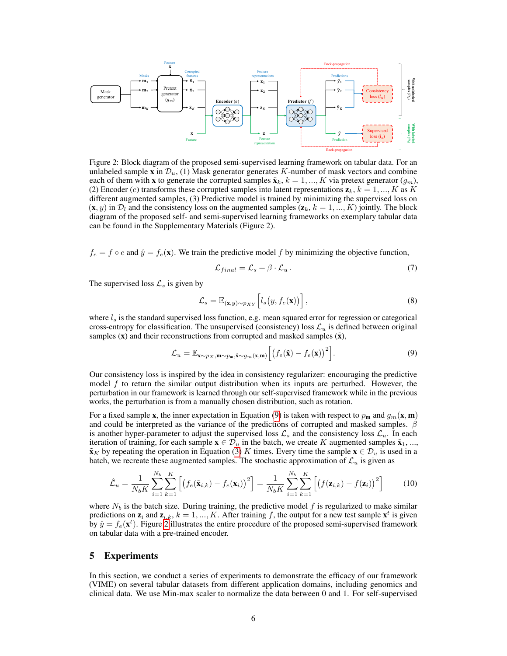<span id="page-5-1"></span>

Figure 2: Block diagram of the proposed semi-supervised learning framework on tabular data. For an unlabeled sample x in  $\mathcal{D}_u$ , (1) Mask generator generates K-number of mask vectors and combine each of them with x to generate the corrupted samples  $\tilde{\mathbf{x}}_k$ ,  $k = 1, ..., K$  via pretext generator  $(g_m)$ , (2) Encoder (e) transforms these corrupted samples into latent representations  $z_k$ ,  $k = 1, ..., K$  as K different augmented samples, (3) Predictive model is trained by minimizing the supervised loss on  $(\mathbf{x}, y)$  in  $\mathcal{D}_l$  and the consistency loss on the augmented samples  $(\mathbf{z}_k, k = 1, ..., K)$  jointly. The block diagram of the proposed self- and semi-supervised learning frameworks on exemplary tabular data can be found in the Supplementary Materials (Figure 2).

 $f_e = f \circ e$  and  $\hat{y} = f_e(\mathbf{x})$ . We train the predictive model f by minimizing the objective function,

<span id="page-5-2"></span><span id="page-5-0"></span>
$$
\mathcal{L}_{final} = \mathcal{L}_s + \beta \cdot \mathcal{L}_u \,. \tag{7}
$$

The supervised loss  $\mathcal{L}_s$  is given by

$$
\mathcal{L}_s = \mathbb{E}_{(\mathbf{x}, y) \sim p_{XY}} \left[ l_s(y, f_e(\mathbf{x})) \right], \tag{8}
$$

where  $l_s$  is the standard supervised loss function, e.g. mean squared error for regression or categorical cross-entropy for classification. The unsupervised (consistency) loss  $\mathcal{L}_u$  is defined between original samples  $(x)$  and their reconstructions from corrupted and masked samples  $(\tilde{x})$ ,

$$
\mathcal{L}_u = \mathbb{E}_{\mathbf{x} \sim p_X, \mathbf{m} \sim p_{\mathbf{m}}, \tilde{\mathbf{x}} \sim g_m(\mathbf{x}, \mathbf{m})} \left[ \left( f_e(\tilde{\mathbf{x}}) - f_e(\mathbf{x}) \right)^2 \right]. \tag{9}
$$

Our consistency loss is inspired by the idea in consistency regularizer: encouraging the predictive model  $f$  to return the similar output distribution when its inputs are perturbed. However, the perturbation in our framework is learned through our self-supervised framework while in the previous works, the perturbation is from a manually chosen distribution, such as rotation.

For a fixed sample x, the inner expectation in Equation [\(9\)](#page-5-0) is taken with respect to  $p_m$  and  $g_m(\mathbf{x}, \mathbf{m})$ and could be interpreted as the variance of the predictions of corrupted and masked samples.  $\beta$ is another hyper-parameter to adjust the supervised loss  $\mathcal{L}_s$  and the consistency loss  $\mathcal{L}_u$ . In each iteration of training, for each sample  $\mathbf{x} \in \mathcal{D}_u$  in the batch, we create K augmented samples  $\tilde{\mathbf{x}}_1, ...,$  $\tilde{\mathbf{x}}_K$  by repeating the operation in Equation [\(3\)](#page-3-0) K times. Every time the sample  $\mathbf{x} \in \mathcal{D}_u$  is used in a batch, we recreate these augmented samples. The stochastic approximation of  $\mathcal{L}_u$  is given as

$$
\hat{\mathcal{L}}_u = \frac{1}{N_b K} \sum_{i=1}^{N_b} \sum_{k=1}^{K} \left[ \left( f_e(\tilde{\mathbf{x}}_{i,k}) - f_e(\mathbf{x}_i) \right)^2 \right] = \frac{1}{N_b K} \sum_{i=1}^{N_b} \sum_{k=1}^{K} \left[ \left( f(\mathbf{z}_{i,k}) - f(\mathbf{z}_i) \right)^2 \right] \tag{10}
$$

where  $N_b$  is the batch size. During training, the predictive model f is regularized to make similar predictions on  $z_i$  and  $z_{i,k}$ ,  $k = 1, ..., K$ . After training f, the output for a new test sample  $x^t$  is given by  $\hat{y} = f_e(\mathbf{x}^t)$ . Figure [2](#page-5-1) illustrates the entire procedure of the proposed semi-supervised framework on tabular data with a pre-trained encoder.

## 5 Experiments

In this section, we conduct a series of experiments to demonstrate the efficacy of our framework (VIME) on several tabular datasets from different application domains, including genomics and clinical data. We use Min-max scaler to normalize the data between 0 and 1. For self-supervised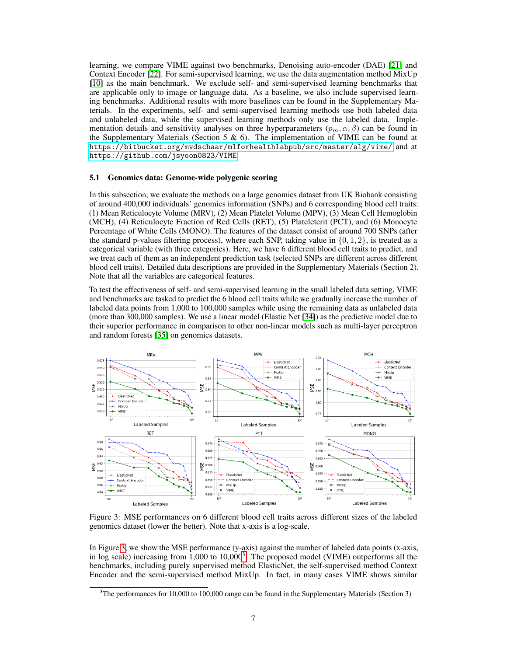learning, we compare VIME against two benchmarks, Denoising auto-encoder (DAE) [\[21\]](#page-10-4) and Context Encoder [\[22\]](#page-10-5). For semi-supervised learning, we use the data augmentation method MixUp [\[10\]](#page-9-9) as the main benchmark. We exclude self- and semi-supervised learning benchmarks that are applicable only to image or language data. As a baseline, we also include supervised learning benchmarks. Additional results with more baselines can be found in the Supplementary Materials. In the experiments, self- and semi-supervised learning methods use both labeled data and unlabeled data, while the supervised learning methods only use the labeled data. Implementation details and sensitivity analyses on three hyperparameters  $(p_m, \alpha, \beta)$  can be found in the Supplementary Materials (Section 5  $\&$  6). The implementation of VIME can be found at <https://bitbucket.org/mvdschaar/mlforhealthlabpub/src/master/alg/vime/> and at <https://github.com/jsyoon0823/VIME>.

#### 5.1 Genomics data: Genome-wide polygenic scoring

In this subsection, we evaluate the methods on a large genomics dataset from UK Biobank consisting of around 400,000 individuals' genomics information (SNPs) and 6 corresponding blood cell traits: (1) Mean Reticulocyte Volume (MRV), (2) Mean Platelet Volume (MPV), (3) Mean Cell Hemoglobin (MCH), (4) Reticulocyte Fraction of Red Cells (RET), (5) Plateletcrit (PCT), and (6) Monocyte Percentage of White Cells (MONO). The features of the dataset consist of around 700 SNPs (after the standard p-values filtering process), where each SNP, taking value in  $\{0, 1, 2\}$ , is treated as a categorical variable (with three categories). Here, we have 6 different blood cell traits to predict, and we treat each of them as an independent prediction task (selected SNPs are different across different blood cell traits). Detailed data descriptions are provided in the Supplementary Materials (Section 2). Note that all the variables are categorical features.

To test the effectiveness of self- and semi-supervised learning in the small labeled data setting, VIME and benchmarks are tasked to predict the 6 blood cell traits while we gradually increase the number of labeled data points from 1,000 to 100,000 samples while using the remaining data as unlabeled data (more than 300,000 samples). We use a linear model (Elastic Net [\[34\]](#page-10-17)) as the predictive model due to their superior performance in comparison to other non-linear models such as multi-layer perceptron and random forests [\[35\]](#page-10-18) on genomics datasets.

<span id="page-6-0"></span>

Figure 3: MSE performances on 6 different blood cell traits across different sizes of the labeled genomics dataset (lower the better). Note that x-axis is a log-scale.

In Figure [3,](#page-6-0) we show the MSE performance (y-axis) against the number of labeled data points (x-axis, in log scale) increasing from 1,000 to 10,000<sup>[3](#page-6-1)</sup>. The proposed model (VIME) outperforms all the benchmarks, including purely supervised method ElasticNet, the self-supervised method Context Encoder and the semi-supervised method MixUp. In fact, in many cases VIME shows similar

<span id="page-6-1"></span> $3$ The performances for 10,000 to 100,000 range can be found in the Supplementary Materials (Section 3)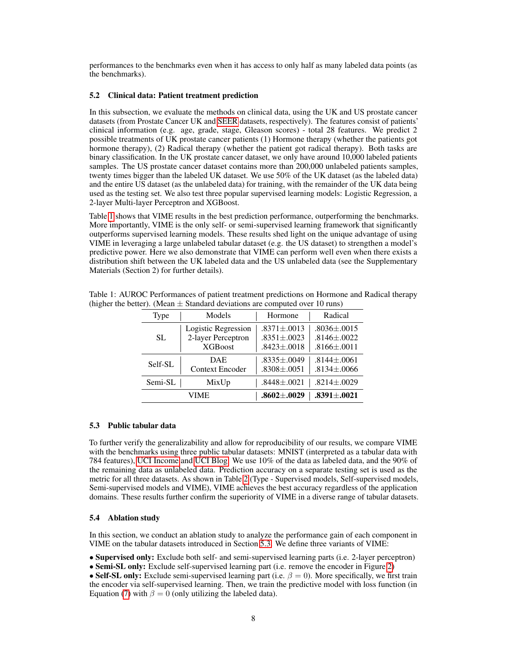performances to the benchmarks even when it has access to only half as many labeled data points (as the benchmarks).

#### 5.2 Clinical data: Patient treatment prediction

In this subsection, we evaluate the methods on clinical data, using the UK and US prostate cancer datasets (from Prostate Cancer UK and [SEER](#page-0-1) datasets, respectively). The features consist of patients' clinical information (e.g. age, grade, stage, Gleason scores) - total 28 features. We predict 2 possible treatments of UK prostate cancer patients (1) Hormone therapy (whether the patients got hormone therapy), (2) Radical therapy (whether the patient got radical therapy). Both tasks are binary classification. In the UK prostate cancer dataset, we only have around 10,000 labeled patients samples. The US prostate cancer dataset contains more than 200,000 unlabeled patients samples, twenty times bigger than the labeled UK dataset. We use 50% of the UK dataset (as the labeled data) and the entire US dataset (as the unlabeled data) for training, with the remainder of the UK data being used as the testing set. We also test three popular supervised learning models: Logistic Regression, a 2-layer Multi-layer Perceptron and XGBoost.

Table [1](#page-7-0) shows that VIME results in the best prediction performance, outperforming the benchmarks. More importantly, VIME is the only self- or semi-supervised learning framework that significantly outperforms supervised learning models. These results shed light on the unique advantage of using VIME in leveraging a large unlabeled tabular dataset (e.g. the US dataset) to strengthen a model's predictive power. Here we also demonstrate that VIME can perform well even when there exists a distribution shift between the UK labeled data and the US unlabeled data (see the Supplementary Materials (Section 2) for further details).

| Type    | Models                                                      | Hormone                                                     | Radical                                                     |
|---------|-------------------------------------------------------------|-------------------------------------------------------------|-------------------------------------------------------------|
| SL.     | Logistic Regression<br>2-layer Perceptron<br><b>XGBoost</b> | $.8371 \pm .0013$<br>$.8351 \pm .0023$<br>$.8423 \pm .0018$ | $.8036 \pm .0015$<br>$.8146 \pm .0022$<br>$.8166 \pm .0011$ |
| Self-SL | DAE.<br><b>Context Encoder</b>                              | $.8335 \pm .0049$<br>$.8308 \pm .0051$                      | $.8144 \pm .0061$<br>$.8134 \pm .0066$                      |
| Semi-SL | MixUp                                                       | $.8448 {\pm} .0021$                                         | $.8214 \pm .0029$                                           |
| VIME    |                                                             | $.8602 {\pm} .0029$                                         | $.8391 {\pm} .0021$                                         |

<span id="page-7-0"></span>Table 1: AUROC Performances of patient treatment predictions on Hormone and Radical therapy (higher the better). (Mean  $\pm$  Standard deviations are computed over 10 runs)

#### <span id="page-7-1"></span>5.3 Public tabular data

To further verify the generalizability and allow for reproducibility of our results, we compare VIME with the benchmarks using three public tabular datasets: MNIST (interpreted as a tabular data with 784 features), [UCI Income](#page-0-1) and [UCI Blog.](#page-0-1) We use 10% of the data as labeled data, and the 90% of the remaining data as unlabeled data. Prediction accuracy on a separate testing set is used as the metric for all three datasets. As shown in Table [2](#page-8-0) (Type - Supervised models, Self-supervised models, Semi-supervised models and VIME), VIME achieves the best accuracy regardless of the application domains. These results further confirm the superiority of VIME in a diverse range of tabular datasets.

### 5.4 Ablation study

In this section, we conduct an ablation study to analyze the performance gain of each component in VIME on the tabular datasets introduced in Section [5.3.](#page-7-1) We define three variants of VIME:

• Supervised only: Exclude both self- and semi-supervised learning parts (i.e. 2-layer perceptron)

• Semi-SL only: Exclude self-supervised learning part (i.e. remove the encoder in Figure [2\)](#page-5-1)

• Self-SL only: Exclude semi-supervised learning part (i.e.  $\beta = 0$ ). More specifically, we first train the encoder via self-supervised learning. Then, we train the predictive model with loss function (in Equation [\(7\)](#page-5-2) with  $\beta = 0$  (only utilizing the labeled data).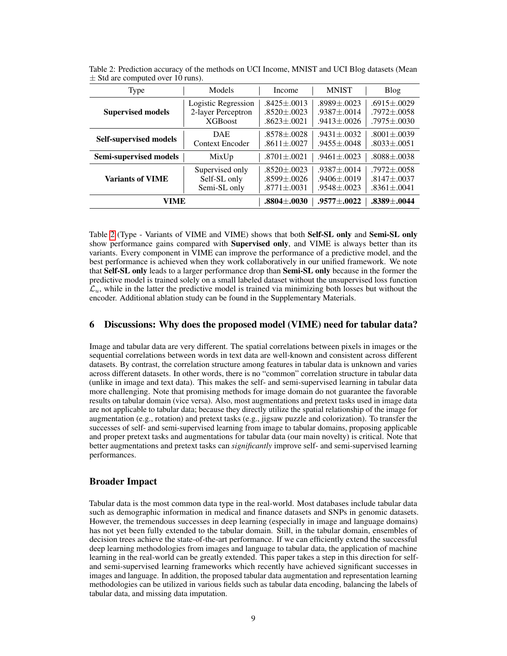| Type                          | Models                 | Income              | <b>MNIST</b>      | Blog              |
|-------------------------------|------------------------|---------------------|-------------------|-------------------|
| <b>Supervised models</b>      | Logistic Regression    | $.8425 \pm .0013$   | $.8989 + .0023$   | $.6915 \pm .0029$ |
|                               | 2-layer Perceptron     | $.8520 \pm .0023$   | $.9387 \pm .0014$ | $.7972 \pm .0058$ |
|                               | <b>XGBoost</b>         | $.8623 \pm .0021$   | $.9413 \pm .0026$ | $.7975 \pm .0030$ |
| <b>Self-supervised models</b> | <b>DAE</b>             | $.8578 + .0028$     | $.9431 \pm .0032$ | $.8001 \pm .0039$ |
|                               | <b>Context Encoder</b> | $.8611 \pm .0027$   | $.9455 \pm .0048$ | $.8033 \pm .0051$ |
| Semi-supervised models        | MixUp                  | $.8701 \pm .0021$   | $.9461 \pm .0023$ | $.8088 \pm .0038$ |
| <b>Variants of VIME</b>       | Supervised only        | $.8520 \pm .0023$   | $.9387 \pm .0014$ | $.7972 \pm .0058$ |
|                               | Self-SL only           | $.8599 + .0026$     | $.9406 \pm .0019$ | $.8147 \pm .0037$ |
|                               | Semi-SL only           | $.8771 \pm .0031$   | $.9548 \pm .0023$ | $.8361 \pm .0041$ |
| VIME                          | $.8804 {\pm} .0030$    | $.9577 {\pm} .0022$ | $.8389 \pm .0044$ |                   |

<span id="page-8-0"></span>Table 2: Prediction accuracy of the methods on UCI Income, MNIST and UCI Blog datasets (Mean  $\pm$  Std are computed over 10 runs).

Table [2](#page-8-0) (Type - Variants of VIME and VIME) shows that both Self-SL only and Semi-SL only show performance gains compared with **Supervised only**, and VIME is always better than its variants. Every component in VIME can improve the performance of a predictive model, and the best performance is achieved when they work collaboratively in our unified framework. We note that Self-SL only leads to a larger performance drop than Semi-SL only because in the former the predictive model is trained solely on a small labeled dataset without the unsupervised loss function  $\mathcal{L}_u$ , while in the latter the predictive model is trained via minimizing both losses but without the encoder. Additional ablation study can be found in the Supplementary Materials.

## 6 Discussions: Why does the proposed model (VIME) need for tabular data?

Image and tabular data are very different. The spatial correlations between pixels in images or the sequential correlations between words in text data are well-known and consistent across different datasets. By contrast, the correlation structure among features in tabular data is unknown and varies across different datasets. In other words, there is no "common" correlation structure in tabular data (unlike in image and text data). This makes the self- and semi-supervised learning in tabular data more challenging. Note that promising methods for image domain do not guarantee the favorable results on tabular domain (vice versa). Also, most augmentations and pretext tasks used in image data are not applicable to tabular data; because they directly utilize the spatial relationship of the image for augmentation (e.g., rotation) and pretext tasks (e.g., jigsaw puzzle and colorization). To transfer the successes of self- and semi-supervised learning from image to tabular domains, proposing applicable and proper pretext tasks and augmentations for tabular data (our main novelty) is critical. Note that better augmentations and pretext tasks can *significantly* improve self- and semi-supervised learning performances.

## Broader Impact

Tabular data is the most common data type in the real-world. Most databases include tabular data such as demographic information in medical and finance datasets and SNPs in genomic datasets. However, the tremendous successes in deep learning (especially in image and language domains) has not yet been fully extended to the tabular domain. Still, in the tabular domain, ensembles of decision trees achieve the state-of-the-art performance. If we can efficiently extend the successful deep learning methodologies from images and language to tabular data, the application of machine learning in the real-world can be greatly extended. This paper takes a step in this direction for selfand semi-supervised learning frameworks which recently have achieved significant successes in images and language. In addition, the proposed tabular data augmentation and representation learning methodologies can be utilized in various fields such as tabular data encoding, balancing the labels of tabular data, and missing data imputation.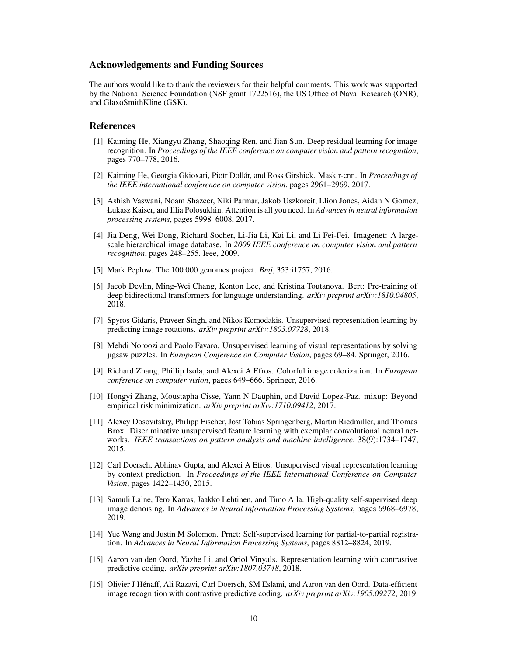## Acknowledgements and Funding Sources

The authors would like to thank the reviewers for their helpful comments. This work was supported by the National Science Foundation (NSF grant 1722516), the US Office of Naval Research (ONR), and GlaxoSmithKline (GSK).

#### References

- <span id="page-9-0"></span>[1] Kaiming He, Xiangyu Zhang, Shaoqing Ren, and Jian Sun. Deep residual learning for image recognition. In *Proceedings of the IEEE conference on computer vision and pattern recognition*, pages 770–778, 2016.
- <span id="page-9-1"></span>[2] Kaiming He, Georgia Gkioxari, Piotr Dollár, and Ross Girshick. Mask r-cnn. In *Proceedings of the IEEE international conference on computer vision*, pages 2961–2969, 2017.
- <span id="page-9-2"></span>[3] Ashish Vaswani, Noam Shazeer, Niki Parmar, Jakob Uszkoreit, Llion Jones, Aidan N Gomez, Łukasz Kaiser, and Illia Polosukhin. Attention is all you need. In *Advances in neural information processing systems*, pages 5998–6008, 2017.
- <span id="page-9-3"></span>[4] Jia Deng, Wei Dong, Richard Socher, Li-Jia Li, Kai Li, and Li Fei-Fei. Imagenet: A largescale hierarchical image database. In *2009 IEEE conference on computer vision and pattern recognition*, pages 248–255. Ieee, 2009.
- <span id="page-9-4"></span>[5] Mark Peplow. The 100 000 genomes project. *Bmj*, 353:i1757, 2016.
- <span id="page-9-5"></span>[6] Jacob Devlin, Ming-Wei Chang, Kenton Lee, and Kristina Toutanova. Bert: Pre-training of deep bidirectional transformers for language understanding. *arXiv preprint arXiv:1810.04805*, 2018.
- <span id="page-9-6"></span>[7] Spyros Gidaris, Praveer Singh, and Nikos Komodakis. Unsupervised representation learning by predicting image rotations. *arXiv preprint arXiv:1803.07728*, 2018.
- <span id="page-9-7"></span>[8] Mehdi Noroozi and Paolo Favaro. Unsupervised learning of visual representations by solving jigsaw puzzles. In *European Conference on Computer Vision*, pages 69–84. Springer, 2016.
- <span id="page-9-8"></span>[9] Richard Zhang, Phillip Isola, and Alexei A Efros. Colorful image colorization. In *European conference on computer vision*, pages 649–666. Springer, 2016.
- <span id="page-9-9"></span>[10] Hongyi Zhang, Moustapha Cisse, Yann N Dauphin, and David Lopez-Paz. mixup: Beyond empirical risk minimization. *arXiv preprint arXiv:1710.09412*, 2017.
- <span id="page-9-10"></span>[11] Alexey Dosovitskiy, Philipp Fischer, Jost Tobias Springenberg, Martin Riedmiller, and Thomas Brox. Discriminative unsupervised feature learning with exemplar convolutional neural networks. *IEEE transactions on pattern analysis and machine intelligence*, 38(9):1734–1747, 2015.
- <span id="page-9-11"></span>[12] Carl Doersch, Abhinav Gupta, and Alexei A Efros. Unsupervised visual representation learning by context prediction. In *Proceedings of the IEEE International Conference on Computer Vision*, pages 1422–1430, 2015.
- <span id="page-9-12"></span>[13] Samuli Laine, Tero Karras, Jaakko Lehtinen, and Timo Aila. High-quality self-supervised deep image denoising. In *Advances in Neural Information Processing Systems*, pages 6968–6978, 2019.
- <span id="page-9-13"></span>[14] Yue Wang and Justin M Solomon. Prnet: Self-supervised learning for partial-to-partial registration. In *Advances in Neural Information Processing Systems*, pages 8812–8824, 2019.
- <span id="page-9-14"></span>[15] Aaron van den Oord, Yazhe Li, and Oriol Vinyals. Representation learning with contrastive predictive coding. *arXiv preprint arXiv:1807.03748*, 2018.
- <span id="page-9-15"></span>[16] Olivier J Hénaff, Ali Razavi, Carl Doersch, SM Eslami, and Aaron van den Oord. Data-efficient image recognition with contrastive predictive coding. *arXiv preprint arXiv:1905.09272*, 2019.